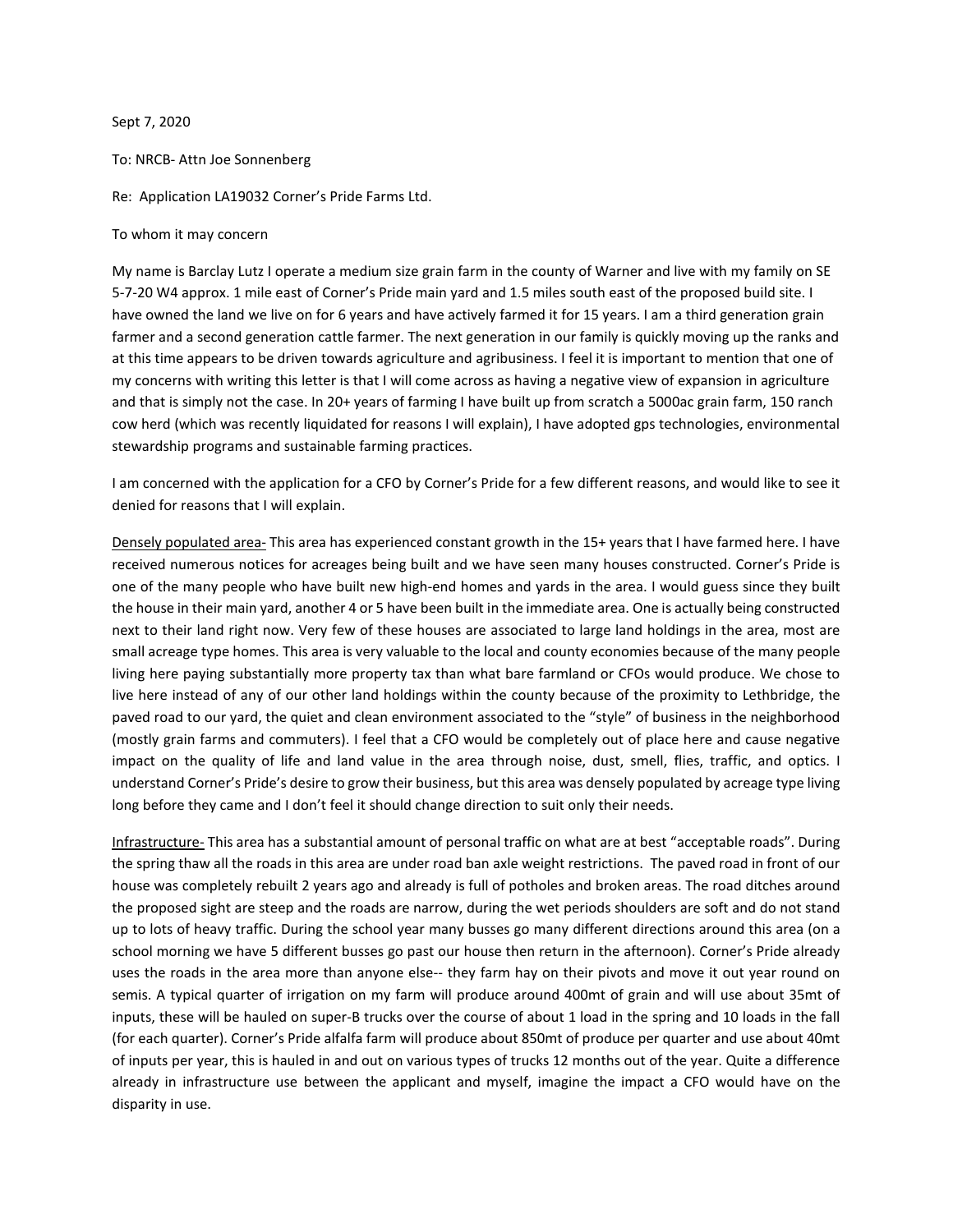Sept 7, 2020

To: NRCB- Attn Joe Sonnenberg

Re: Application LA19032 Corner's Pride Farms Ltd.

To whom it may concern

My name is Barclay Lutz I operate a medium size grain farm in the county of Warner and live with my family on SE 5-7-20 W4 approx. 1 mile east of Corner's Pride main yard and 1.5 miles south east of the proposed build site. I have owned the land we live on for 6 years and have actively farmed it for 15 years. I am a third generation grain farmer and a second generation cattle farmer. The next generation in our family is quickly moving up the ranks and at this time appears to be driven towards agriculture and agribusiness. I feel it is important to mention that one of my concerns with writing this letter is that I will come across as having a negative view of expansion in agriculture and that is simply not the case. In 20+ years of farming I have built up from scratch a 5000ac grain farm, 150 ranch cow herd (which was recently liquidated for reasons I will explain), I have adopted gps technologies, environmental stewardship programs and sustainable farming practices.

I am concerned with the application for a CFO by Corner's Pride for a few different reasons, and would like to see it denied for reasons that I will explain.

Densely populated area- This area has experienced constant growth in the 15+ years that I have farmed here. I have received numerous notices for acreages being built and we have seen many houses constructed. Corner's Pride is one of the many people who have built new high-end homes and yards in the area. I would guess since they built the house in their main yard, another 4 or 5 have been built in the immediate area. One is actually being constructed next to their land right now. Very few of these houses are associated to large land holdings in the area, most are small acreage type homes. This area is very valuable to the local and county economies because of the many people living here paying substantially more property tax than what bare farmland or CFOs would produce. We chose to live here instead of any of our other land holdings within the county because of the proximity to Lethbridge, the paved road to our yard, the quiet and clean environment associated to the "style" of business in the neighborhood (mostly grain farms and commuters). I feel that a CFO would be completely out of place here and cause negative impact on the quality of life and land value in the area through noise, dust, smell, flies, traffic, and optics. I understand Corner's Pride's desire to grow their business, but this area was densely populated by acreage type living long before they came and I don't feel it should change direction to suit only their needs.

Infrastructure- This area has a substantial amount of personal traffic on what are at best "acceptable roads". During the spring thaw all the roads in this area are under road ban axle weight restrictions. The paved road in front of our house was completely rebuilt 2 years ago and already is full of potholes and broken areas. The road ditches around the proposed sight are steep and the roads are narrow, during the wet periods shoulders are soft and do not stand up to lots of heavy traffic. During the school year many busses go many different directions around this area (on a school morning we have 5 different busses go past our house then return in the afternoon). Corner's Pride already uses the roads in the area more than anyone else-- they farm hay on their pivots and move it out year round on semis. A typical quarter of irrigation on my farm will produce around 400mt of grain and will use about 35mt of inputs, these will be hauled on super-B trucks over the course of about 1 load in the spring and 10 loads in the fall (for each quarter). Corner's Pride alfalfa farm will produce about 850mt of produce per quarter and use about 40mt of inputs per year, this is hauled in and out on various types of trucks 12 months out of the year. Quite a difference already in infrastructure use between the applicant and myself, imagine the impact a CFO would have on the disparity in use.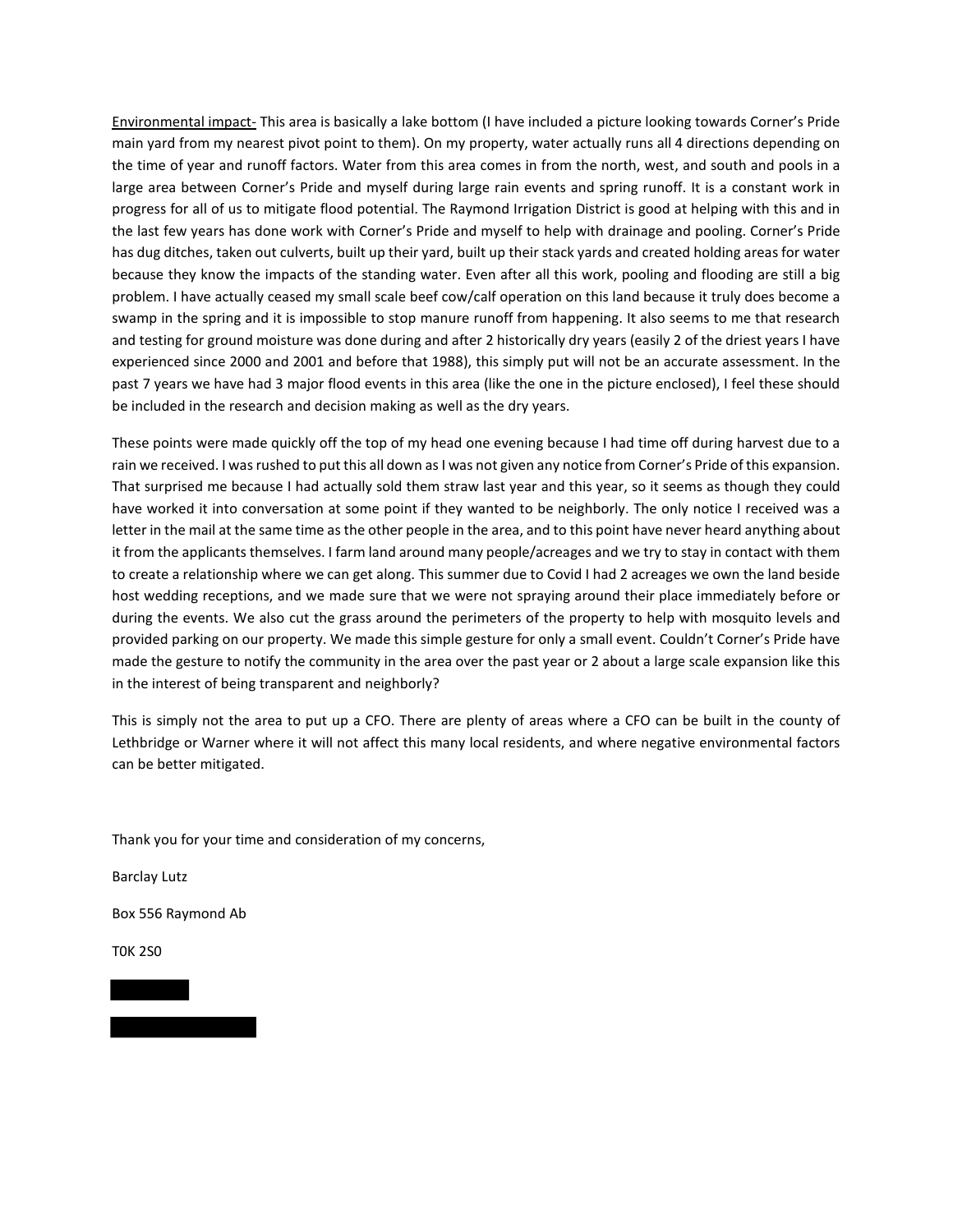Environmental impact- This area is basically a lake bottom (I have included a picture looking towards Corner's Pride main yard from my nearest pivot point to them). On my property, water actually runs all 4 directions depending on the time of year and runoff factors. Water from this area comes in from the north, west, and south and pools in a large area between Corner's Pride and myself during large rain events and spring runoff. It is a constant work in progress for all of us to mitigate flood potential. The Raymond Irrigation District is good at helping with this and in the last few years has done work with Corner's Pride and myself to help with drainage and pooling. Corner's Pride has dug ditches, taken out culverts, built up their yard, built up their stack yards and created holding areas for water because they know the impacts of the standing water. Even after all this work, pooling and flooding are still a big problem. I have actually ceased my small scale beef cow/calf operation on this land because it truly does become a swamp in the spring and it is impossible to stop manure runoff from happening. It also seems to me that research and testing for ground moisture was done during and after 2 historically dry years (easily 2 of the driest years I have experienced since 2000 and 2001 and before that 1988), this simply put will not be an accurate assessment. In the past 7 years we have had 3 major flood events in this area (like the one in the picture enclosed), I feel these should be included in the research and decision making as well as the dry years.

These points were made quickly off the top of my head one evening because I had time off during harvest due to a rain we received. I was rushed to put this all down as I was not given any notice from Corner's Pride of this expansion. That surprised me because I had actually sold them straw last year and this year, so it seems as though they could have worked it into conversation at some point if they wanted to be neighborly. The only notice I received was a letter in the mail at the same time as the other people in the area, and to this point have never heard anything about it from the applicants themselves. I farm land around many people/acreages and we try to stay in contact with them to create a relationship where we can get along. This summer due to Covid I had 2 acreages we own the land beside host wedding receptions, and we made sure that we were not spraying around their place immediately before or during the events. We also cut the grass around the perimeters of the property to help with mosquito levels and provided parking on our property. We made this simple gesture for only a small event. Couldn't Corner's Pride have made the gesture to notify the community in the area over the past year or 2 about a large scale expansion like this in the interest of being transparent and neighborly?

This is simply not the area to put up a CFO. There are plenty of areas where a CFO can be built in the county of Lethbridge or Warner where it will not affect this many local residents, and where negative environmental factors can be better mitigated.

Thank you for your time and consideration of my concerns,

Barclay Lutz

Box 556 Raymond Ab

T0K 2S0